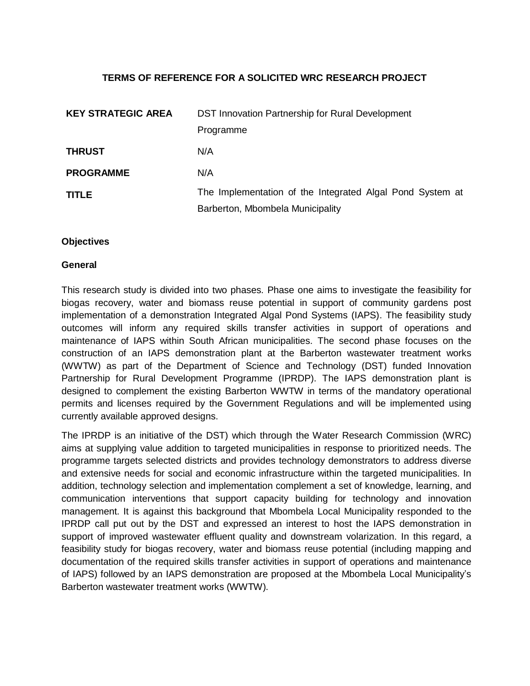## **TERMS OF REFERENCE FOR A SOLICITED WRC RESEARCH PROJECT**

| <b>KEY STRATEGIC AREA</b> | DST Innovation Partnership for Rural Development          |
|---------------------------|-----------------------------------------------------------|
|                           | Programme                                                 |
| <b>THRUST</b>             | N/A                                                       |
| <b>PROGRAMME</b>          | N/A                                                       |
| <b>TITLE</b>              | The Implementation of the Integrated Algal Pond System at |
|                           | Barberton, Mbombela Municipality                          |

### **Objectives**

### **General**

This research study is divided into two phases. Phase one aims to investigate the feasibility for biogas recovery, water and biomass reuse potential in support of community gardens post implementation of a demonstration Integrated Algal Pond Systems (IAPS). The feasibility study outcomes will inform any required skills transfer activities in support of operations and maintenance of IAPS within South African municipalities. The second phase focuses on the construction of an IAPS demonstration plant at the Barberton wastewater treatment works (WWTW) as part of the Department of Science and Technology (DST) funded Innovation Partnership for Rural Development Programme (IPRDP). The IAPS demonstration plant is designed to complement the existing Barberton WWTW in terms of the mandatory operational permits and licenses required by the Government Regulations and will be implemented using currently available approved designs.

The IPRDP is an initiative of the DST) which through the Water Research Commission (WRC) aims at supplying value addition to targeted municipalities in response to prioritized needs. The programme targets selected districts and provides technology demonstrators to address diverse and extensive needs for social and economic infrastructure within the targeted municipalities. In addition, technology selection and implementation complement a set of knowledge, learning, and communication interventions that support capacity building for technology and innovation management. It is against this background that Mbombela Local Municipality responded to the IPRDP call put out by the DST and expressed an interest to host the IAPS demonstration in support of improved wastewater effluent quality and downstream volarization. In this regard, a feasibility study for biogas recovery, water and biomass reuse potential (including mapping and documentation of the required skills transfer activities in support of operations and maintenance of IAPS) followed by an IAPS demonstration are proposed at the Mbombela Local Municipality's Barberton wastewater treatment works (WWTW).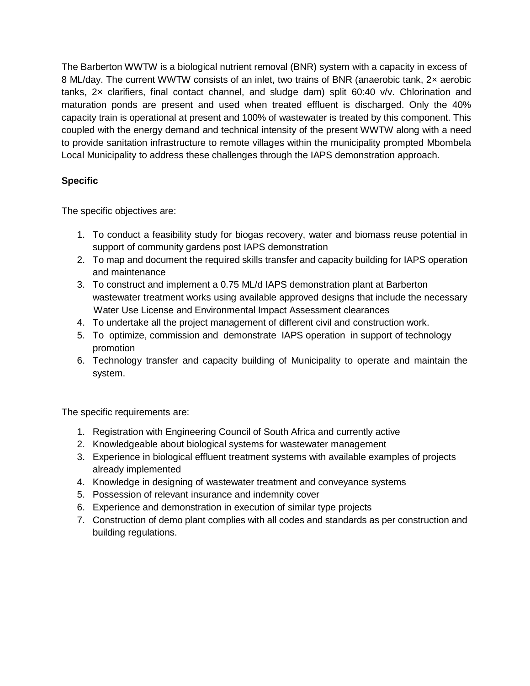The Barberton WWTW is a biological nutrient removal (BNR) system with a capacity in excess of 8 ML/day. The current WWTW consists of an inlet, two trains of BNR (anaerobic tank, 2× aerobic tanks,  $2x$  clarifiers, final contact channel, and sludge dam) split 60:40  $v/v$ . Chlorination and maturation ponds are present and used when treated effluent is discharged. Only the 40% capacity train is operational at present and 100% of wastewater is treated by this component. This coupled with the energy demand and technical intensity of the present WWTW along with a need to provide sanitation infrastructure to remote villages within the municipality prompted Mbombela Local Municipality to address these challenges through the IAPS demonstration approach.

# **Specific**

The specific objectives are:

- 1. To conduct a feasibility study for biogas recovery, water and biomass reuse potential in support of community gardens post IAPS demonstration
- 2. To map and document the required skills transfer and capacity building for IAPS operation and maintenance
- 3. To construct and implement a 0.75 ML/d IAPS demonstration plant at Barberton wastewater treatment works using available approved designs that include the necessary Water Use License and Environmental Impact Assessment clearances
- 4. To undertake all the project management of different civil and construction work.
- 5. To optimize, commission and demonstrate IAPS operation in support of technology promotion
- 6. Technology transfer and capacity building of Municipality to operate and maintain the system.

The specific requirements are:

- 1. Registration with Engineering Council of South Africa and currently active
- 2. Knowledgeable about biological systems for wastewater management
- 3. Experience in biological effluent treatment systems with available examples of projects already implemented
- 4. Knowledge in designing of wastewater treatment and conveyance systems
- 5. Possession of relevant insurance and indemnity cover
- 6. Experience and demonstration in execution of similar type projects
- 7. Construction of demo plant complies with all codes and standards as per construction and building regulations.